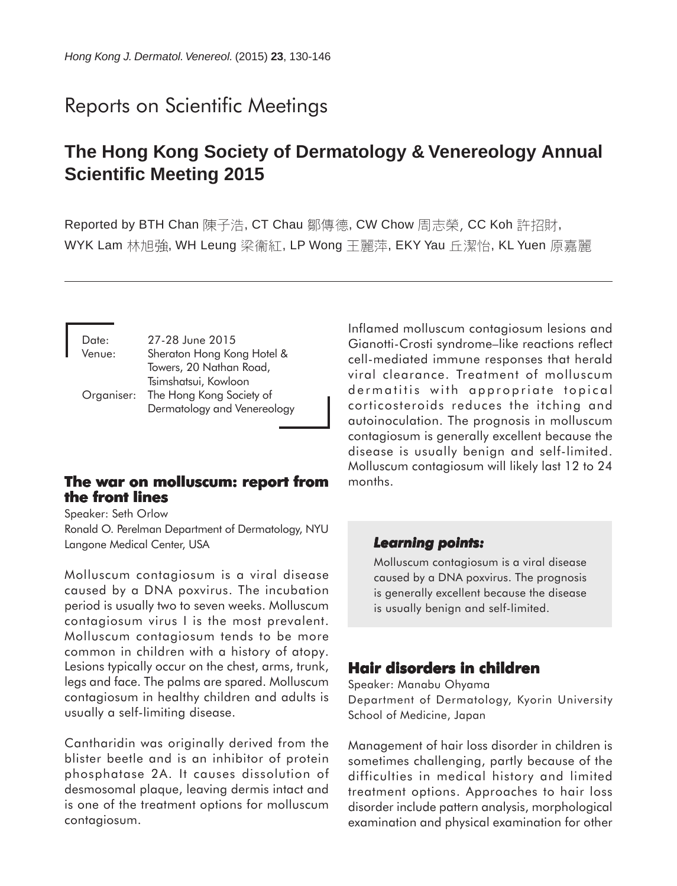# Reports on Scientific Meetings

## **The Hong Kong Society of Dermatology & Venereology Annual Scientific Meeting 2015**

Reported by BTH Chan 陳子浩, CT Chau 鄒傳德, CW Chow 周志榮, CC Koh 許招財, WYK Lam 林旭強, WH Leung 梁衞紅, LP Wong 王麗萍, EKY Yau 丘潔怡, KL Yuen 原嘉麗

| Date:<br>Venue: | 27-28 June 2015<br>Sheraton Hong Kong Hotel &<br>Towers, 20 Nathan Road,                   |
|-----------------|--------------------------------------------------------------------------------------------|
|                 | Tsimshatsui, Kowloon<br>Organiser: The Hong Kong Society of<br>Dermatology and Venereology |

### **The war on molluscum: report from the front lines**

Speaker: Seth Orlow Ronald O. Perelman Department of Dermatology, NYU Langone Medical Center, USA

Molluscum contagiosum is a viral disease caused by a DNA poxvirus. The incubation period is usually two to seven weeks. Molluscum contagiosum virus I is the most prevalent. Molluscum contagiosum tends to be more common in children with a history of atopy. Lesions typically occur on the chest, arms, trunk, legs and face. The palms are spared. Molluscum contagiosum in healthy children and adults is usually a self-limiting disease.

Cantharidin was originally derived from the blister beetle and is an inhibitor of protein phosphatase 2A. It causes dissolution of desmosomal plaque, leaving dermis intact and is one of the treatment options for molluscum contagiosum.

Inflamed molluscum contagiosum lesions and Gianotti-Crosti syndrome–like reactions reflect cell-mediated immune responses that herald viral clearance. Treatment of molluscum dermatitis with appropriate topical corticosteroids reduces the itching and autoinoculation. The prognosis in molluscum contagiosum is generally excellent because the disease is usually benign and self-limited. Molluscum contagiosum will likely last 12 to 24 months.

### *Learning points: Learning points:*

Molluscum contagiosum is a viral disease caused by a DNA poxvirus. The prognosis is generally excellent because the disease is usually benign and self-limited.

## **Hair disorders in children**

Speaker: Manabu Ohyama Department of Dermatology, Kyorin University School of Medicine, Japan

Management of hair loss disorder in children is sometimes challenging, partly because of the difficulties in medical history and limited treatment options. Approaches to hair loss disorder include pattern analysis, morphological examination and physical examination for other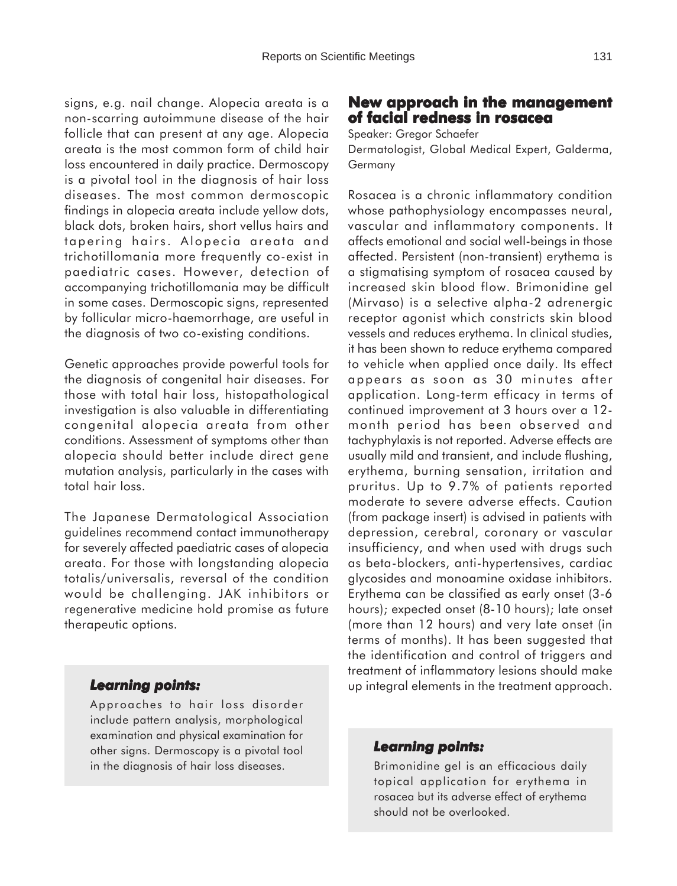signs, e.g. nail change. Alopecia areata is a non-scarring autoimmune disease of the hair follicle that can present at any age. Alopecia areata is the most common form of child hair loss encountered in daily practice. Dermoscopy is a pivotal tool in the diagnosis of hair loss diseases. The most common dermoscopic findings in alopecia areata include yellow dots, black dots, broken hairs, short vellus hairs and tapering hairs. Alopecia areata and trichotillomania more frequently co-exist in paediatric cases. However, detection of accompanying trichotillomania may be difficult in some cases. Dermoscopic signs, represented by follicular micro-haemorrhage, are useful in the diagnosis of two co-existing conditions.

Genetic approaches provide powerful tools for the diagnosis of congenital hair diseases. For those with total hair loss, histopathological investigation is also valuable in differentiating congenital alopecia areata from other conditions. Assessment of symptoms other than alopecia should better include direct gene mutation analysis, particularly in the cases with total hair loss.

The Japanese Dermatological Association guidelines recommend contact immunotherapy for severely affected paediatric cases of alopecia areata. For those with longstanding alopecia totalis/universalis, reversal of the condition would be challenging. JAK inhibitors or regenerative medicine hold promise as future therapeutic options.

### *Learning points: Learning*

Approaches to hair loss disorder include pattern analysis, morphological examination and physical examination for other signs. Dermoscopy is a pivotal tool in the diagnosis of hair loss diseases.

### **New approach in the management approach in the management of facial redness in rosacea**

Speaker: Gregor Schaefer

Dermatologist, Global Medical Expert, Galderma, Germany

Rosacea is a chronic inflammatory condition whose pathophysiology encompasses neural, vascular and inflammatory components. It affects emotional and social well-beings in those affected. Persistent (non-transient) erythema is a stigmatising symptom of rosacea caused by increased skin blood flow. Brimonidine gel (Mirvaso) is a selective alpha-2 adrenergic receptor agonist which constricts skin blood vessels and reduces erythema. In clinical studies, it has been shown to reduce erythema compared to vehicle when applied once daily. Its effect appears as soon as 30 minutes after application. Long-term efficacy in terms of continued improvement at 3 hours over a 12 month period has been observed and tachyphylaxis is not reported. Adverse effects are usually mild and transient, and include flushing, erythema, burning sensation, irritation and pruritus. Up to 9.7% of patients reported moderate to severe adverse effects. Caution (from package insert) is advised in patients with depression, cerebral, coronary or vascular insufficiency, and when used with drugs such as beta-blockers, anti-hypertensives, cardiac glycosides and monoamine oxidase inhibitors. Erythema can be classified as early onset (3-6 hours); expected onset (8-10 hours); late onset (more than 12 hours) and very late onset (in terms of months). It has been suggested that the identification and control of triggers and treatment of inflammatory lesions should make up integral elements in the treatment approach.

#### *Learning points: Learning points:*

Brimonidine gel is an efficacious daily topical application for erythema in rosacea but its adverse effect of erythema should not be overlooked.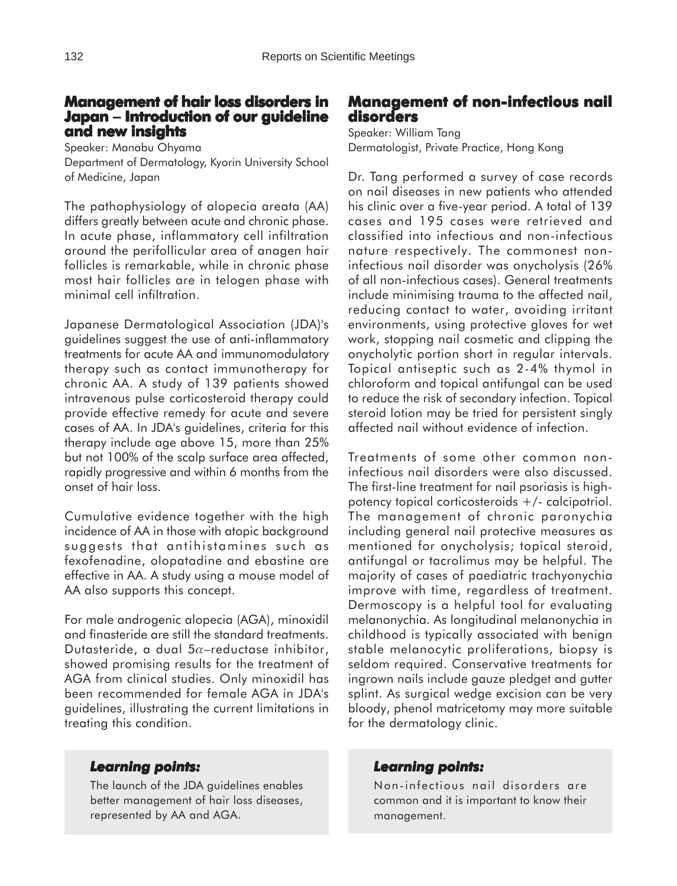### **Management of hair loss disorders in Japan** − **Introduction of our guideline and new insights**

Speaker: Manabu Ohyama Department of Dermatology, Kyorin University School of Medicine, Japan

The pathophysiology of alopecia areata (AA) differs greatly between acute and chronic phase. In acute phase, inflammatory cell infiltration around the perifollicular area of anagen hair follicles is remarkable, while in chronic phase most hair follicles are in telogen phase with minimal cell infiltration.

Japanese Dermatological Association (JDA)'s guidelines suggest the use of anti-inflammatory treatments for acute AA and immunomodulatory therapy such as contact immunotherapy for chronic AA. A study of 139 patients showed intravenous pulse corticosteroid therapy could provide effective remedy for acute and severe cases of AA. In JDA's guidelines, criteria for this therapy include age above 15, more than 25% but not 100% of the scalp surface area affected, rapidly progressive and within 6 months from the onset of hair loss.

Cumulative evidence together with the high incidence of AA in those with atopic background suggests that antihistamines such as fexofenadine, olopatadine and ebastine are effective in AA. A study using a mouse model of AA also supports this concept.

For male androgenic alopecia (AGA), minoxidil and finasteride are still the standard treatments. Dutasteride, a dual  $5\alpha$ -reductase inhibitor, showed promising results for the treatment of AGA from clinical studies. Only minoxidil has been recommended for female AGA in JDA's guidelines, illustrating the current limitations in treating this condition.

### *Learning points: Learning*

The launch of the JDA guidelines enables better management of hair loss diseases, represented by AA and AGA.

### **Management of non-infectious nail of nail disorders**

Speaker: William Tang Dermatologist, Private Practice, Hong Kong

Dr. Tang performed a survey of case records on nail diseases in new patients who attended his clinic over a five-year period. A total of 139 cases and 195 cases were retrieved and classified into infectious and non-infectious nature respectively. The commonest noninfectious nail disorder was onycholysis (26% of all non-infectious cases). General treatments include minimising trauma to the affected nail, reducing contact to water, avoiding irritant environments, using protective gloves for wet work, stopping nail cosmetic and clipping the onycholytic portion short in regular intervals. Topical antiseptic such as 2-4% thymol in chloroform and topical antifungal can be used to reduce the risk of secondary infection. Topical steroid lotion may be tried for persistent singly affected nail without evidence of infection.

Treatments of some other common noninfectious nail disorders were also discussed. The first-line treatment for nail psoriasis is highpotency topical corticosteroids +/- calcipotriol. The management of chronic paronychia including general nail protective measures as mentioned for onycholysis; topical steroid, antifungal or tacrolimus may be helpful. The majority of cases of paediatric trachyonychia improve with time, regardless of treatment. Dermoscopy is a helpful tool for evaluating melanonychia. As longitudinal melanonychia in childhood is typically associated with benign stable melanocytic proliferations, biopsy is seldom required. Conservative treatments for ingrown nails include gauze pledget and gutter splint. As surgical wedge excision can be very bloody, phenol matricetomy may more suitable for the dermatology clinic.

### *Learning points: Learning points:*

Non-infectious nail disorders are common and it is important to know their management.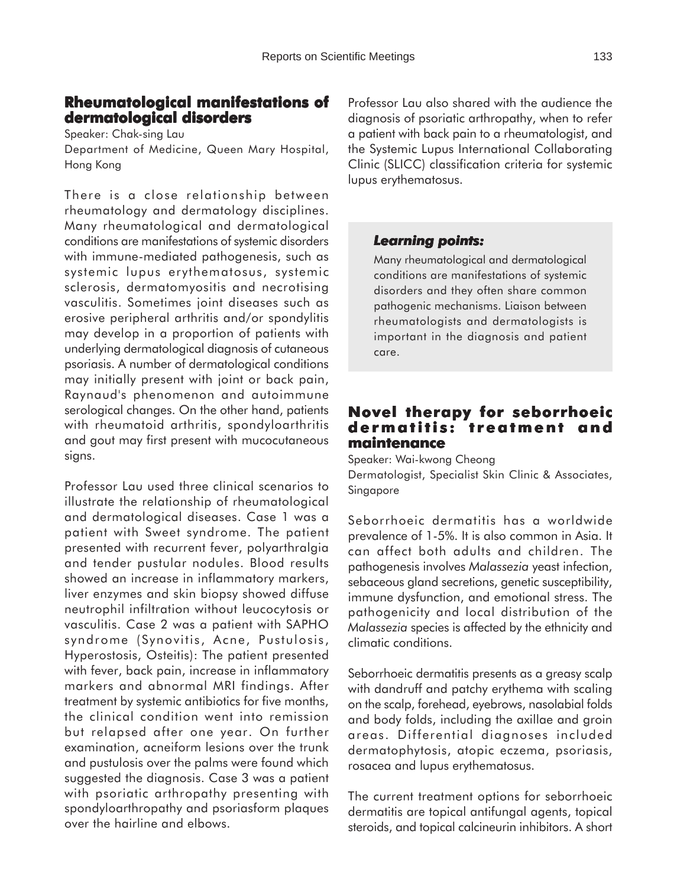### **Rheumatological manifestations of Rheumatological of dermatological disorders**

Speaker: Chak-sing Lau Department of Medicine, Queen Mary Hospital, Hong Kong

There is a close relationship between rheumatology and dermatology disciplines. Many rheumatological and dermatological conditions are manifestations of systemic disorders with immune-mediated pathogenesis, such as systemic lupus erythematosus, systemic sclerosis, dermatomyositis and necrotising vasculitis. Sometimes joint diseases such as erosive peripheral arthritis and/or spondylitis may develop in a proportion of patients with underlying dermatological diagnosis of cutaneous psoriasis. A number of dermatological conditions may initially present with joint or back pain, Raynaud's phenomenon and autoimmune serological changes. On the other hand, patients with rheumatoid arthritis, spondyloarthritis and gout may first present with mucocutaneous signs.

Professor Lau used three clinical scenarios to illustrate the relationship of rheumatological and dermatological diseases. Case 1 was a patient with Sweet syndrome. The patient presented with recurrent fever, polyarthralgia and tender pustular nodules. Blood results showed an increase in inflammatory markers, liver enzymes and skin biopsy showed diffuse neutrophil infiltration without leucocytosis or vasculitis. Case 2 was a patient with SAPHO syndrome (Synovitis, Acne, Pustulosis, Hyperostosis, Osteitis): The patient presented with fever, back pain, increase in inflammatory markers and abnormal MRI findings. After treatment by systemic antibiotics for five months, the clinical condition went into remission but relapsed after one year. On further examination, acneiform lesions over the trunk and pustulosis over the palms were found which suggested the diagnosis. Case 3 was a patient with psoriatic arthropathy presenting with spondyloarthropathy and psoriasform plaques over the hairline and elbows.

Professor Lau also shared with the audience the diagnosis of psoriatic arthropathy, when to refer a patient with back pain to a rheumatologist, and the Systemic Lupus International Collaborating Clinic (SLICC) classification criteria for systemic lupus erythematosus.

### *Learning points: Learning points:*

Many rheumatological and dermatological conditions are manifestations of systemic disorders and they often share common pathogenic mechanisms. Liaison between rheumatologists and dermatologists is important in the diagnosis and patient care.

### **Novel therapy for seborrhoeic dermatitis: treatment and maintenance**

Speaker: Wai-kwong Cheong Dermatologist, Specialist Skin Clinic & Associates, Singapore

Seborrhoeic dermatitis has a worldwide prevalence of 1-5%. It is also common in Asia. It can affect both adults and children. The pathogenesis involves *Malassezia* yeast infection, sebaceous gland secretions, genetic susceptibility, immune dysfunction, and emotional stress. The pathogenicity and local distribution of the *Malassezia* species is affected by the ethnicity and climatic conditions.

Seborrhoeic dermatitis presents as a greasy scalp with dandruff and patchy erythema with scaling on the scalp, forehead, eyebrows, nasolabial folds and body folds, including the axillae and groin areas. Differential diagnoses included dermatophytosis, atopic eczema, psoriasis, rosacea and lupus erythematosus.

The current treatment options for seborrhoeic dermatitis are topical antifungal agents, topical steroids, and topical calcineurin inhibitors. A short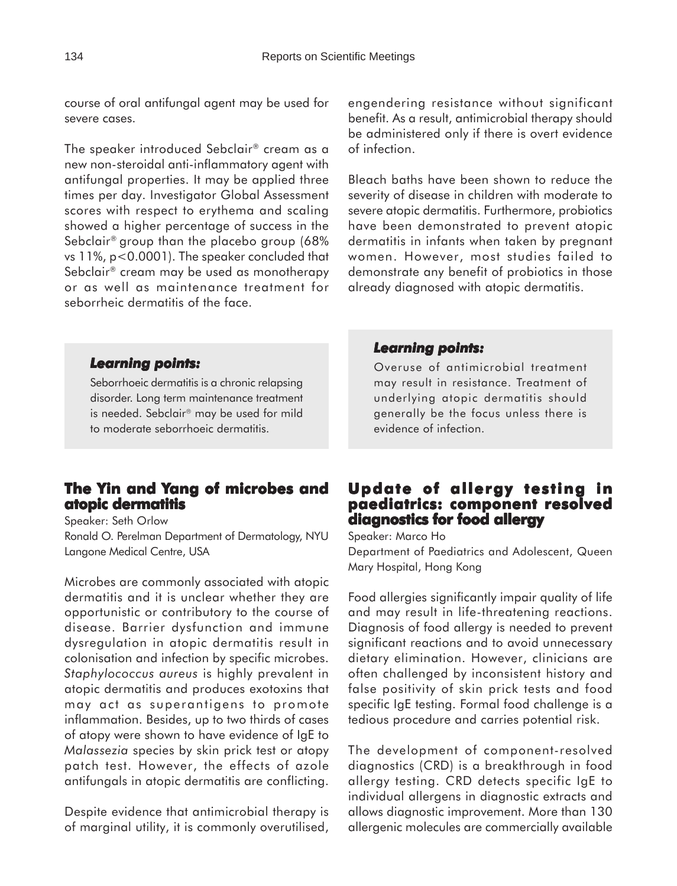course of oral antifungal agent may be used for severe cases.

The speaker introduced Sebclair® cream as a new non-steroidal anti-inflammatory agent with antifungal properties. It may be applied three times per day. Investigator Global Assessment scores with respect to erythema and scaling showed a higher percentage of success in the Sebclair® group than the placebo group (68% vs 11%, p<0.0001). The speaker concluded that Sebclair® cream may be used as monotherapy or as well as maintenance treatment for seborrheic dermatitis of the face.

engendering resistance without significant benefit. As a result, antimicrobial therapy should be administered only if there is overt evidence of infection.

Bleach baths have been shown to reduce the severity of disease in children with moderate to severe atopic dermatitis. Furthermore, probiotics have been demonstrated to prevent atopic dermatitis in infants when taken by pregnant women. However, most studies failed to demonstrate any benefit of probiotics in those already diagnosed with atopic dermatitis.

#### *Learning points: Learning*

Seborrhoeic dermatitis is a chronic relapsing disorder. Long term maintenance treatment is needed. Sebclair<sup>®</sup> may be used for mild to moderate seborrhoeic dermatitis.

### **The Yin and Yang of microbes and atopic dermatitis**

Speaker: Seth Orlow

Ronald O. Perelman Department of Dermatology, NYU Langone Medical Centre, USA

Microbes are commonly associated with atopic dermatitis and it is unclear whether they are opportunistic or contributory to the course of disease. Barrier dysfunction and immune dysregulation in atopic dermatitis result in colonisation and infection by specific microbes. *Staphylococcus aureus* is highly prevalent in atopic dermatitis and produces exotoxins that may act as superantigens to promote inflammation. Besides, up to two thirds of cases of atopy were shown to have evidence of IgE to *Malassezia* species by skin prick test or atopy patch test. However, the effects of azole antifungals in atopic dermatitis are conflicting.

Despite evidence that antimicrobial therapy is of marginal utility, it is commonly overutilised,

#### *Learning points: Learning points:*

Overuse of antimicrobial treatment may result in resistance. Treatment of underlying atopic dermatitis should generally be the focus unless there is evidence of infection.

### **Update of allergy testing in paediatrics: component resolved diagnostics for food allergy**

Speaker: Marco Ho

Department of Paediatrics and Adolescent, Queen Mary Hospital, Hong Kong

Food allergies significantly impair quality of life and may result in life-threatening reactions. Diagnosis of food allergy is needed to prevent significant reactions and to avoid unnecessary dietary elimination. However, clinicians are often challenged by inconsistent history and false positivity of skin prick tests and food specific IgE testing. Formal food challenge is a tedious procedure and carries potential risk.

The development of component-resolved diagnostics (CRD) is a breakthrough in food allergy testing. CRD detects specific IgE to individual allergens in diagnostic extracts and allows diagnostic improvement. More than 130 allergenic molecules are commercially available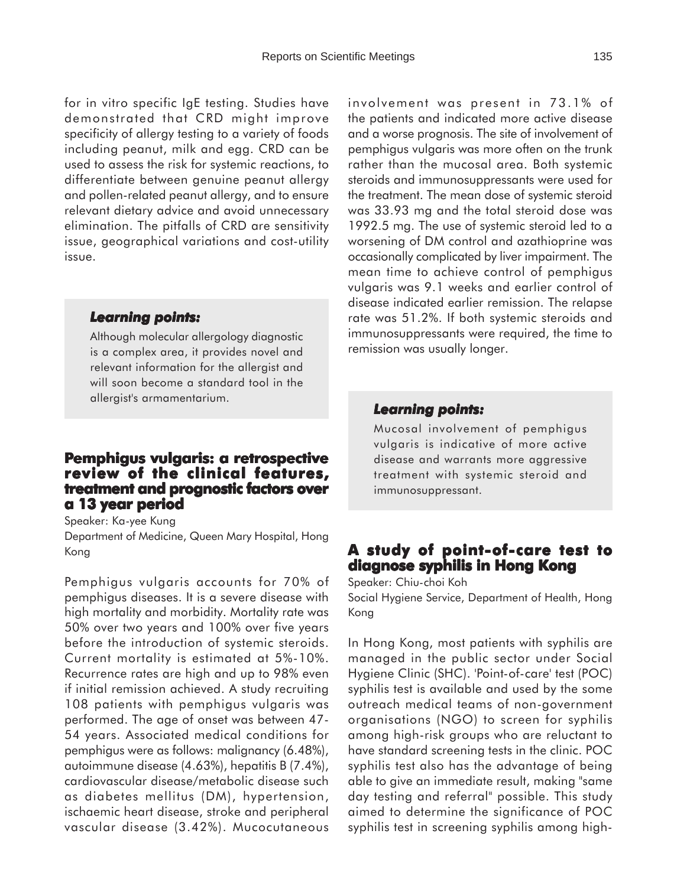for in vitro specific IgE testing. Studies have demonstrated that CRD might improve specificity of allergy testing to a variety of foods including peanut, milk and egg. CRD can be used to assess the risk for systemic reactions, to differentiate between genuine peanut allergy and pollen-related peanut allergy, and to ensure relevant dietary advice and avoid unnecessary elimination. The pitfalls of CRD are sensitivity issue, geographical variations and cost-utility issue.

#### *Learning points: Learning*

Although molecular allergology diagnostic is a complex area, it provides novel and relevant information for the allergist and will soon become a standard tool in the allergist's armamentarium.

### **Pemphigus vulgaris: a retrospective review of the clinical features, review of treatment and prognostic factors over a 13 year period**

Speaker: Ka-yee Kung Department of Medicine, Queen Mary Hospital, Hong Kong

Pemphigus vulgaris accounts for 70% of pemphigus diseases. It is a severe disease with high mortality and morbidity. Mortality rate was 50% over two years and 100% over five years before the introduction of systemic steroids. Current mortality is estimated at 5%-10%. Recurrence rates are high and up to 98% even if initial remission achieved. A study recruiting 108 patients with pemphigus vulgaris was performed. The age of onset was between 47- 54 years. Associated medical conditions for pemphigus were as follows: malignancy (6.48%), autoimmune disease (4.63%), hepatitis B (7.4%), cardiovascular disease/metabolic disease such as diabetes mellitus (DM), hypertension, ischaemic heart disease, stroke and peripheral vascular disease (3.42%). Mucocutaneous

involvement was present in 73.1% of the patients and indicated more active disease and a worse prognosis. The site of involvement of pemphigus vulgaris was more often on the trunk rather than the mucosal area. Both systemic steroids and immunosuppressants were used for the treatment. The mean dose of systemic steroid was 33.93 mg and the total steroid dose was 1992.5 mg. The use of systemic steroid led to a worsening of DM control and azathioprine was occasionally complicated by liver impairment. The mean time to achieve control of pemphigus vulgaris was 9.1 weeks and earlier control of disease indicated earlier remission. The relapse rate was 51.2%. If both systemic steroids and immunosuppressants were required, the time to remission was usually longer.

#### *Learning points: Learning points:*

Mucosal involvement of pemphigus vulgaris is indicative of more active disease and warrants more aggressive treatment with systemic steroid and immunosuppressant.

### **A study of point A study point-of-care test to diagnose syphilis in Hong Kong**

Speaker: Chiu-choi Koh Social Hygiene Service, Department of Health, Hong Kong

In Hong Kong, most patients with syphilis are managed in the public sector under Social Hygiene Clinic (SHC). 'Point-of-care' test (POC) syphilis test is available and used by the some outreach medical teams of non-government organisations (NGO) to screen for syphilis among high-risk groups who are reluctant to have standard screening tests in the clinic. POC syphilis test also has the advantage of being able to give an immediate result, making "same day testing and referral" possible. This study aimed to determine the significance of POC syphilis test in screening syphilis among high-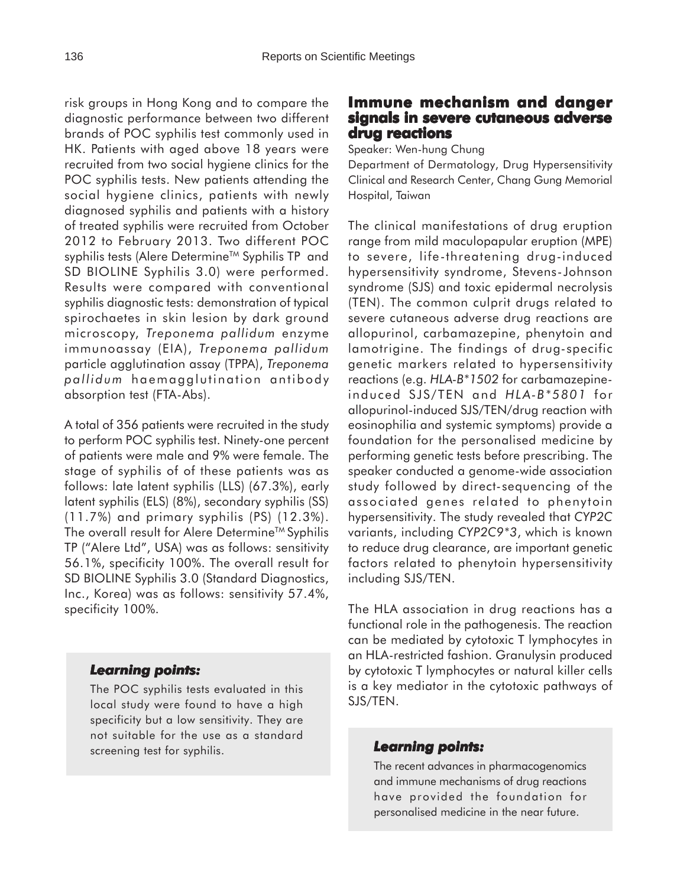risk groups in Hong Kong and to compare the diagnostic performance between two different brands of POC syphilis test commonly used in HK. Patients with aged above 18 years were recruited from two social hygiene clinics for the POC syphilis tests. New patients attending the social hygiene clinics, patients with newly diagnosed syphilis and patients with a history of treated syphilis were recruited from October 2012 to February 2013. Two different POC syphilis tests (Alere Determine<sup>TM</sup> Syphilis TP and SD BIOLINE Syphilis 3.0) were performed. Results were compared with conventional syphilis diagnostic tests: demonstration of typical spirochaetes in skin lesion by dark ground microscopy, *Treponema pallidum* enzyme immunoassay (EIA), *Treponema pallidum* particle agglutination assay (TPPA), *Treponema pallidum* haemagglutination antibody absorption test (FTA-Abs).

A total of 356 patients were recruited in the study to perform POC syphilis test. Ninety-one percent of patients were male and 9% were female. The stage of syphilis of of these patients was as follows: late latent syphilis (LLS) (67.3%), early latent syphilis (ELS) (8%), secondary syphilis (SS) (11.7%) and primary syphilis (PS) (12.3%). The overall result for Alere Determine™ Syphilis TP ("Alere Ltd", USA) was as follows: sensitivity 56.1%, specificity 100%. The overall result for SD BIOLINE Syphilis 3.0 (Standard Diagnostics, Inc., Korea) was as follows: sensitivity 57.4%, specificity 100%.

### *Learning points: Learning*

The POC syphilis tests evaluated in this local study were found to have a high specificity but a low sensitivity. They are not suitable for the use as a standard screening test for syphilis.

### **Immune mechanism and danger signals in severe cutaneous adverse drug reactions**

Speaker: Wen-hung Chung

Department of Dermatology, Drug Hypersensitivity Clinical and Research Center, Chang Gung Memorial Hospital, Taiwan

The clinical manifestations of drug eruption range from mild maculopapular eruption (MPE) to severe, life-threatening drug-induced hypersensitivity syndrome, Stevens-Johnson syndrome (SJS) and toxic epidermal necrolysis (TEN). The common culprit drugs related to severe cutaneous adverse drug reactions are allopurinol, carbamazepine, phenytoin and lamotrigine. The findings of drug-specific genetic markers related to hypersensitivity reactions (e.g. *HLA-B\*1502* for carbamazepineinduced SJS/TEN and *HLA-B\*5801* for allopurinol-induced SJS/TEN/drug reaction with eosinophilia and systemic symptoms) provide a foundation for the personalised medicine by performing genetic tests before prescribing. The speaker conducted a genome-wide association study followed by direct-sequencing of the associated genes related to phenytoin hypersensitivity. The study revealed that *CYP2C* variants, including *CYP2C9\*3*, which is known to reduce drug clearance, are important genetic factors related to phenytoin hypersensitivity including SJS/TEN.

The HLA association in drug reactions has a functional role in the pathogenesis. The reaction can be mediated by cytotoxic T lymphocytes in an HLA-restricted fashion. Granulysin produced by cytotoxic T lymphocytes or natural killer cells is a key mediator in the cytotoxic pathways of SJS/TEN.

### *Learning points: Learning points:*

The recent advances in pharmacogenomics and immune mechanisms of drug reactions have provided the foundation for personalised medicine in the near future.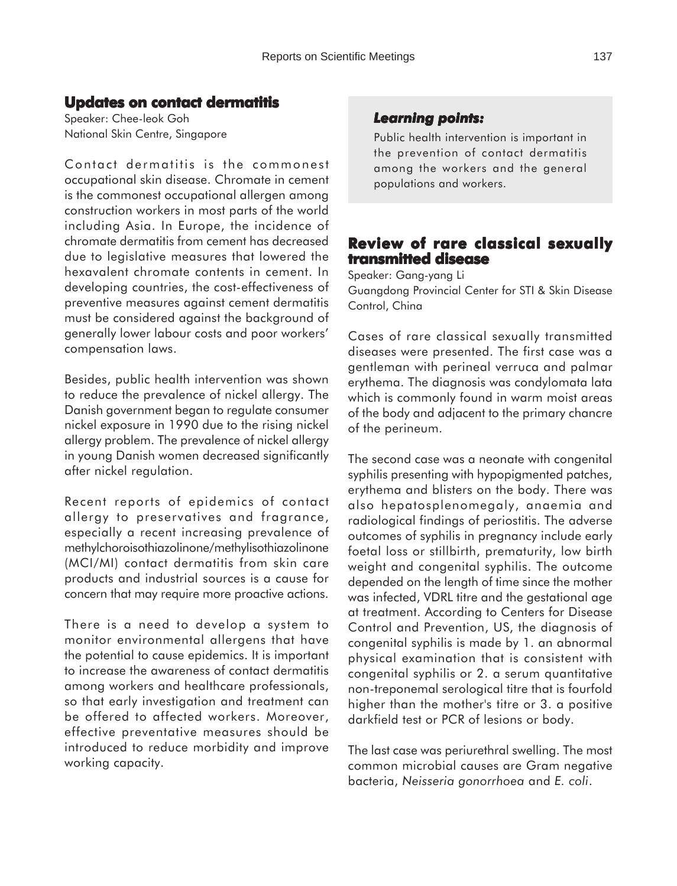### **Updates on contact dermatitis**

Speaker: Chee-leok Goh National Skin Centre, Singapore

Contact dermatitis is the commonest occupational skin disease. Chromate in cement is the commonest occupational allergen among construction workers in most parts of the world including Asia. In Europe, the incidence of chromate dermatitis from cement has decreased due to legislative measures that lowered the hexavalent chromate contents in cement. In developing countries, the cost-effectiveness of preventive measures against cement dermatitis must be considered against the background of generally lower labour costs and poor workers' compensation laws.

Besides, public health intervention was shown to reduce the prevalence of nickel allergy. The Danish government began to regulate consumer nickel exposure in 1990 due to the rising nickel allergy problem. The prevalence of nickel allergy in young Danish women decreased significantly after nickel regulation.

Recent reports of epidemics of contact allergy to preservatives and fragrance, especially a recent increasing prevalence of methylchoroisothiazolinone/methylisothiazolinone (MCI/MI) contact dermatitis from skin care products and industrial sources is a cause for concern that may require more proactive actions.

There is a need to develop a system to monitor environmental allergens that have the potential to cause epidemics. It is important to increase the awareness of contact dermatitis among workers and healthcare professionals, so that early investigation and treatment can be offered to affected workers. Moreover, effective preventative measures should be introduced to reduce morbidity and improve working capacity.

### *Learning points: Learning points:*

Public health intervention is important in the prevention of contact dermatitis among the workers and the general populations and workers.

### **Review of rare classical sexually transmitted disease**

Speaker: Gang-yang Li

Guangdong Provincial Center for STI & Skin Disease Control, China

Cases of rare classical sexually transmitted diseases were presented. The first case was a gentleman with perineal verruca and palmar erythema. The diagnosis was condylomata lata which is commonly found in warm moist areas of the body and adjacent to the primary chancre of the perineum.

The second case was a neonate with congenital syphilis presenting with hypopigmented patches, erythema and blisters on the body. There was also hepatosplenomegaly, anaemia and radiological findings of periostitis. The adverse outcomes of syphilis in pregnancy include early foetal loss or stillbirth, prematurity, low birth weight and congenital syphilis. The outcome depended on the length of time since the mother was infected, VDRL titre and the gestational age at treatment. According to Centers for Disease Control and Prevention, US, the diagnosis of congenital syphilis is made by 1. an abnormal physical examination that is consistent with congenital syphilis or 2. a serum quantitative non-treponemal serological titre that is fourfold higher than the mother's titre or 3. a positive darkfield test or PCR of lesions or body.

The last case was periurethral swelling. The most common microbial causes are Gram negative bacteria, *Neisseria gonorrhoea* and *E. coli*.